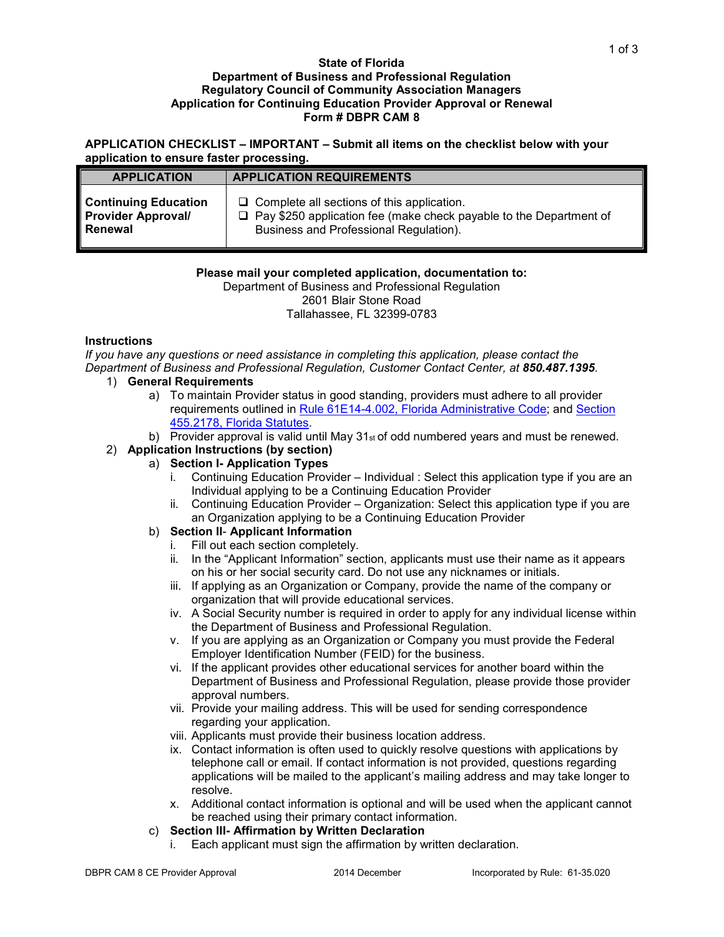#### **State of Florida Department of Business and Professional Regulation Regulatory Council of Community Association Managers Application for Continuing Education Provider Approval or Renewal Form # DBPR CAM 8**

**APPLICATION CHECKLIST – IMPORTANT – Submit all items on the checklist below with your application to ensure faster processing.**

| <b>APPLICATION</b>          | <b>APPLICATION REQUIREMENTS</b>                                           |  |
|-----------------------------|---------------------------------------------------------------------------|--|
| <b>Continuing Education</b> | $\Box$ Complete all sections of this application.                         |  |
| <b>Provider Approval/</b>   | $\Box$ Pay \$250 application fee (make check payable to the Department of |  |
| Renewal                     | Business and Professional Regulation).                                    |  |

# **Please mail your completed application, documentation to:**

Department of Business and Professional Regulation 2601 Blair Stone Road

Tallahassee, FL 32399-0783

# **Instructions**

*If you have any questions or need assistance in completing this application, please contact the Department of Business and Professional Regulation, Customer Contact Center, at 850.487.1395.* 

# 1) **General Requirements**

- a) To maintain Provider status in good standing, providers must adhere to all provider requirements outlined in [Rule 61E14-4.002, Florida Administrative Code;](https://www.flrules.org/gateway/RuleNo.asp?title=Continuing%20Education&ID=61E14-4.002) and [Section](http://www.leg.state.fl.us/Statutes/index.cfm?App_mode=Display_Statute&Search_String=&URL=0400-0499/0455/Sections/0455.2178.html)  [455.2178, Florida Statutes.](http://www.leg.state.fl.us/Statutes/index.cfm?App_mode=Display_Statute&Search_String=&URL=0400-0499/0455/Sections/0455.2178.html)
- b) Provider approval is valid until May 31<sup>st</sup> of odd numbered years and must be renewed.

# 2) **Application Instructions (by section)**

- a) **Section I- Application Types** 
	- i. Continuing Education Provider Individual : Select this application type if you are an Individual applying to be a Continuing Education Provider
	- ii. Continuing Education Provider Organization: Select this application type if you are an Organization applying to be a Continuing Education Provider
- b) **Section II Applicant Information** 
	- i. Fill out each section completely.
	- ii. In the "Applicant Information" section, applicants must use their name as it appears on his or her social security card. Do not use any nicknames or initials.
	- iii. If applying as an Organization or Company, provide the name of the company or organization that will provide educational services.
	- iv. A Social Security number is required in order to apply for any individual license within the Department of Business and Professional Regulation.
	- v. If you are applying as an Organization or Company you must provide the Federal Employer Identification Number (FEID) for the business.
	- vi. If the applicant provides other educational services for another board within the Department of Business and Professional Regulation, please provide those provider approval numbers.
	- vii. Provide your mailing address. This will be used for sending correspondence regarding your application.
	- viii. Applicants must provide their business location address.
	- ix. Contact information is often used to quickly resolve questions with applications by telephone call or email. If contact information is not provided, questions regarding applications will be mailed to the applicant's mailing address and may take longer to resolve.
	- x. Additional contact information is optional and will be used when the applicant cannot be reached using their primary contact information.

# c) **Section III- Affirmation by Written Declaration**

i. Each applicant must sign the affirmation by written declaration.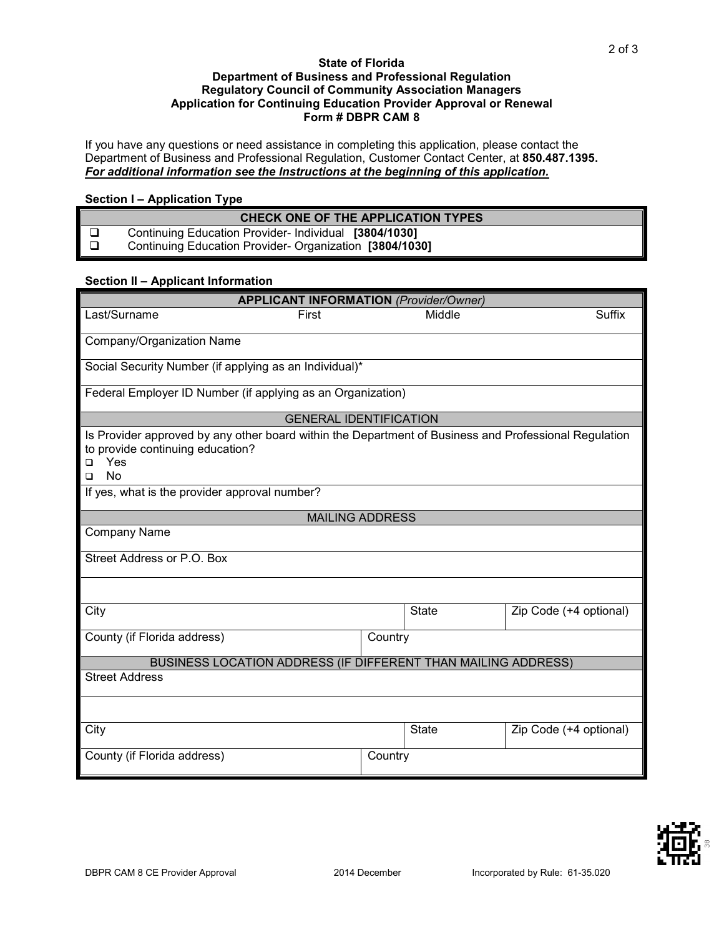#### **State of Florida Department of Business and Professional Regulation Regulatory Council of Community Association Managers Application for Continuing Education Provider Approval or Renewal Form # DBPR CAM 8**

If you have any questions or need assistance in completing this application, please contact the Department of Business and Professional Regulation, Customer Contact Center, at **850.487.1395.** *For additional information see the Instructions at the beginning of this application.*

### **Section I – Application Type**

| CHECK ONE OF THE APPLICATION TYPES                     |
|--------------------------------------------------------|
| Continuing Education Provider-Individual [3804/1030]   |
| Continuing Education Provider-Organization [3804/1030] |

### **Section II – Applicant Information**

| <b>APPLICANT INFORMATION (Provider/Owner)</b>                                                                                                                           |         |              |                        |  |  |  |  |
|-------------------------------------------------------------------------------------------------------------------------------------------------------------------------|---------|--------------|------------------------|--|--|--|--|
| Last/Surname<br>First                                                                                                                                                   |         | Middle       | <b>Suffix</b>          |  |  |  |  |
| Company/Organization Name                                                                                                                                               |         |              |                        |  |  |  |  |
| Social Security Number (if applying as an Individual)*                                                                                                                  |         |              |                        |  |  |  |  |
| Federal Employer ID Number (if applying as an Organization)                                                                                                             |         |              |                        |  |  |  |  |
| <b>GENERAL IDENTIFICATION</b>                                                                                                                                           |         |              |                        |  |  |  |  |
| Is Provider approved by any other board within the Department of Business and Professional Regulation<br>to provide continuing education?<br>Yes<br>□<br><b>No</b><br>□ |         |              |                        |  |  |  |  |
| If yes, what is the provider approval number?                                                                                                                           |         |              |                        |  |  |  |  |
| <b>MAILING ADDRESS</b>                                                                                                                                                  |         |              |                        |  |  |  |  |
| Company Name                                                                                                                                                            |         |              |                        |  |  |  |  |
| Street Address or P.O. Box                                                                                                                                              |         |              |                        |  |  |  |  |
|                                                                                                                                                                         |         |              |                        |  |  |  |  |
| City                                                                                                                                                                    |         | <b>State</b> | Zip Code (+4 optional) |  |  |  |  |
| County (if Florida address)                                                                                                                                             | Country |              |                        |  |  |  |  |
| BUSINESS LOCATION ADDRESS (IF DIFFERENT THAN MAILING ADDRESS)                                                                                                           |         |              |                        |  |  |  |  |
| <b>Street Address</b>                                                                                                                                                   |         |              |                        |  |  |  |  |
|                                                                                                                                                                         |         |              |                        |  |  |  |  |
| City                                                                                                                                                                    |         | <b>State</b> | Zip Code (+4 optional) |  |  |  |  |
| County (if Florida address)                                                                                                                                             | Country |              |                        |  |  |  |  |



2 of 3